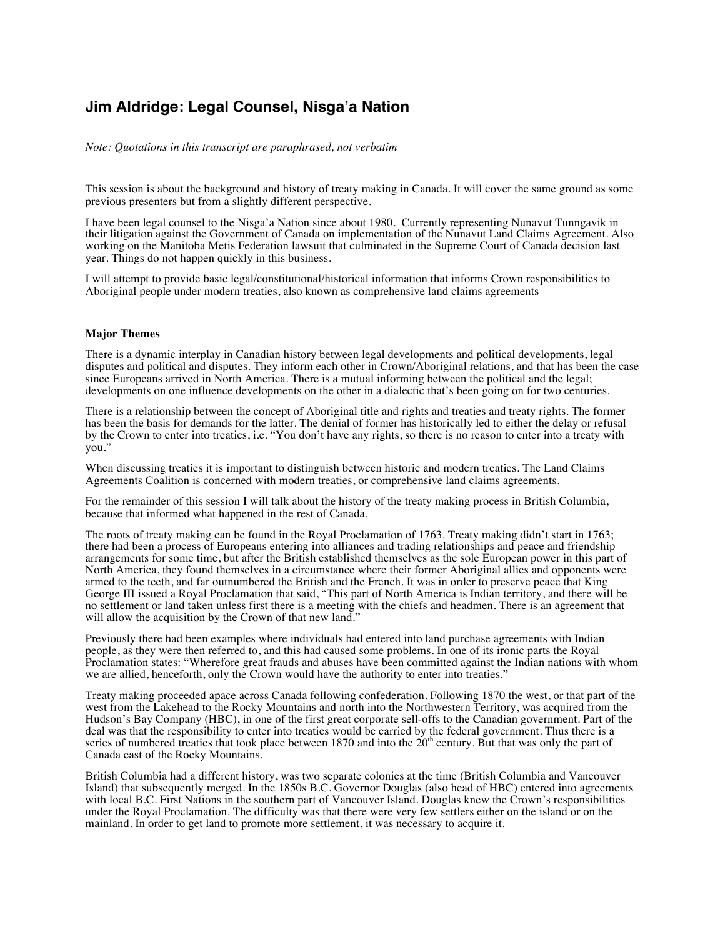## **Jim Aldridge: Legal Counsel, Nisga'a Nation**

*Note: Quotations in this transcript are paraphrased, not verbatim*

This session is about the background and history of treaty making in Canada. It will cover the same ground as some previous presenters but from a slightly different perspective.

I have been legal counsel to the Nisga'a Nation since about 1980. Currently representing Nunavut Tunngavik in their litigation against the Government of Canada on implementation of the Nunavut Land Claims Agreement. Also working on the Manitoba Metis Federation lawsuit that culminated in the Supreme Court of Canada decision last year. Things do not happen quickly in this business.

I will attempt to provide basic legal/constitutional/historical information that informs Crown responsibilities to Aboriginal people under modern treaties, also known as comprehensive land claims agreements

## **Major Themes**

There is a dynamic interplay in Canadian history between legal developments and political developments, legal disputes and political and disputes. They inform each other in Crown/Aboriginal relations, and that has been the case since Europeans arrived in North America. There is a mutual informing between the political and the legal; developments on one influence developments on the other in a dialectic that's been going on for two centuries.

There is a relationship between the concept of Aboriginal title and rights and treaties and treaty rights. The former has been the basis for demands for the latter. The denial of former has historically led to either the delay or refusal by the Crown to enter into treaties, i.e. "You don't have any rights, so there is no reason to enter into a treaty with you."

When discussing treaties it is important to distinguish between historic and modern treaties. The Land Claims Agreements Coalition is concerned with modern treaties, or comprehensive land claims agreements.

For the remainder of this session I will talk about the history of the treaty making process in British Columbia, because that informed what happened in the rest of Canada.

The roots of treaty making can be found in the Royal Proclamation of 1763. Treaty making didn't start in 1763; there had been a process of Europeans entering into alliances and trading relationships and peace and friendship arrangements for some time, but after the British established themselves as the sole European power in this part of North America, they found themselves in a circumstance where their former Aboriginal allies and opponents were armed to the teeth, and far outnumbered the British and the French. It was in order to preserve peace that King George III issued a Royal Proclamation that said, "This part of North America is Indian territory, and there will be no settlement or land taken unless first there is a meeting with the chiefs and headmen. There is an agreement that will allow the acquisition by the Crown of that new land."

Previously there had been examples where individuals had entered into land purchase agreements with Indian people, as they were then referred to, and this had caused some problems. In one of its ironic parts the Royal Proclamation states: "Wherefore great frauds and abuses have been committed against the Indian nations with whom we are allied, henceforth, only the Crown would have the authority to enter into treaties."

Treaty making proceeded apace across Canada following confederation. Following 1870 the west, or that part of the west from the Lakehead to the Rocky Mountains and north into the Northwestern Territory, was acquired from the Hudson's Bay Company (HBC), in one of the first great corporate sell-offs to the Canadian government. Part of the deal was that the responsibility to enter into treaties would be carried by the federal government. Thus there is a series of numbered treaties that took place between 1870 and into the  $20<sup>th</sup>$  century. But that was only the part of Canada east of the Rocky Mountains.

British Columbia had a different history, was two separate colonies at the time (British Columbia and Vancouver Island) that subsequently merged. In the 1850s B.C. Governor Douglas (also head of HBC) entered into agreements with local B.C. First Nations in the southern part of Vancouver Island. Douglas knew the Crown's responsibilities under the Royal Proclamation. The difficulty was that there were very few settlers either on the island or on the mainland. In order to get land to promote more settlement, it was necessary to acquire it.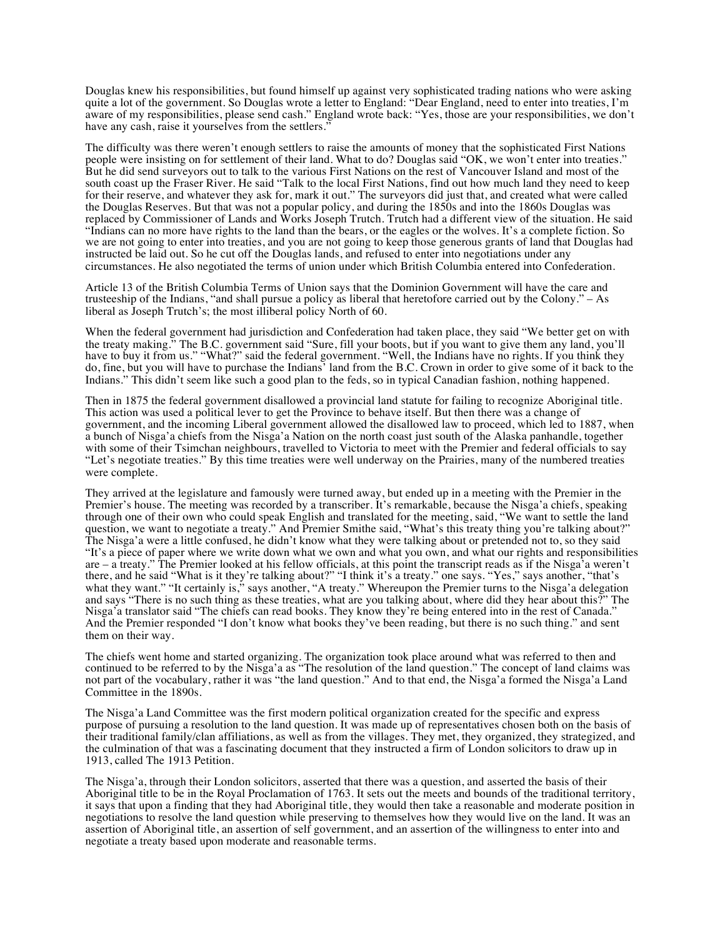Douglas knew his responsibilities, but found himself up against very sophisticated trading nations who were asking quite a lot of the government. So Douglas wrote a letter to England: "Dear England, need to enter into treaties, I'm aware of my responsibilities, please send cash." England wrote back: "Yes, those are your responsibilities, we don't have any cash, raise it yourselves from the settlers."

The difficulty was there weren't enough settlers to raise the amounts of money that the sophisticated First Nations people were insisting on for settlement of their land. What to do? Douglas said "OK, we won't enter into treaties." But he did send surveyors out to talk to the various First Nations on the rest of Vancouver Island and most of the south coast up the Fraser River. He said "Talk to the local First Nations, find out how much land they need to keep for their reserve, and whatever they ask for, mark it out." The surveyors did just that, and created what were called the Douglas Reserves. But that was not a popular policy, and during the 1850s and into the 1860s Douglas was replaced by Commissioner of Lands and Works Joseph Trutch. Trutch had a different view of the situation. He said "Indians can no more have rights to the land than the bears, or the eagles or the wolves. It's a complete fiction. So we are not going to enter into treaties, and you are not going to keep those generous grants of land that Douglas had instructed be laid out. So he cut off the Douglas lands, and refused to enter into negotiations under any circumstances. He also negotiated the terms of union under which British Columbia entered into Confederation.

Article 13 of the British Columbia Terms of Union says that the Dominion Government will have the care and trusteeship of the Indians, "and shall pursue a policy as liberal that heretofore carried out by the Colony." – As liberal as Joseph Trutch's; the most illiberal policy North of 60.

When the federal government had jurisdiction and Confederation had taken place, they said "We better get on with the treaty making." The B.C. government said "Sure, fill your boots, but if you want to give them any land, you'll have to buy it from us." "What?" said the federal government. "Well, the Indians have no rights. If you think they do, fine, but you will have to purchase the Indians' land from the B.C. Crown in order to give some of it back to the Indians." This didn't seem like such a good plan to the feds, so in typical Canadian fashion, nothing happened.

Then in 1875 the federal government disallowed a provincial land statute for failing to recognize Aboriginal title. This action was used a political lever to get the Province to behave itself. But then there was a change of government, and the incoming Liberal government allowed the disallowed law to proceed, which led to 1887, when a bunch of Nisga'a chiefs from the Nisga'a Nation on the north coast just south of the Alaska panhandle, together with some of their Tsimchan neighbours, travelled to Victoria to meet with the Premier and federal officials to say "Let's negotiate treaties." By this time treaties were well underway on the Prairies, many of the numbered treaties were complete.

They arrived at the legislature and famously were turned away, but ended up in a meeting with the Premier in the Premier's house. The meeting was recorded by a transcriber. It's remarkable, because the Nisga'a chiefs, speaking through one of their own who could speak English and translated for the meeting, said, "We want to settle the land question, we want to negotiate a treaty." And Premier Smithe said, "What's this treaty thing you're talking about?" The Nisga'a were a little confused, he didn't know what they were talking about or pretended not to, so they said "It's a piece of paper where we write down what we own and what you own, and what our rights and responsibilities are – a treaty." The Premier looked at his fellow officials, at this point the transcript reads as if the Nisga'a weren't there, and he said "What is it they're talking about?" "I think it's a treaty." one says. "Yes," says another, "that's what they want." "It certainly is," says another, "A treaty." Whereupon the Premier turns to the Nisga'a delegation and says "There is no such thing as these treaties, what are you talking about, where did they hear about this?" The Nisga'a translator said "The chiefs can read books. They know they're being entered into in the rest of Canada." And the Premier responded "I don't know what books they've been reading, but there is no such thing." and sent them on their way.

The chiefs went home and started organizing. The organization took place around what was referred to then and continued to be referred to by the Nisga'a as "The resolution of the land question." The concept of land claims was not part of the vocabulary, rather it was "the land question." And to that end, the Nisga'a formed the Nisga'a Land Committee in the 1890s.

The Nisga'a Land Committee was the first modern political organization created for the specific and express purpose of pursuing a resolution to the land question. It was made up of representatives chosen both on the basis of their traditional family/clan affiliations, as well as from the villages. They met, they organized, they strategized, and the culmination of that was a fascinating document that they instructed a firm of London solicitors to draw up in 1913, called The 1913 Petition.

The Nisga'a, through their London solicitors, asserted that there was a question, and asserted the basis of their Aboriginal title to be in the Royal Proclamation of 1763. It sets out the meets and bounds of the traditional territory, it says that upon a finding that they had Aboriginal title, they would then take a reasonable and moderate position in negotiations to resolve the land question while preserving to themselves how they would live on the land. It was an assertion of Aboriginal title, an assertion of self government, and an assertion of the willingness to enter into and negotiate a treaty based upon moderate and reasonable terms.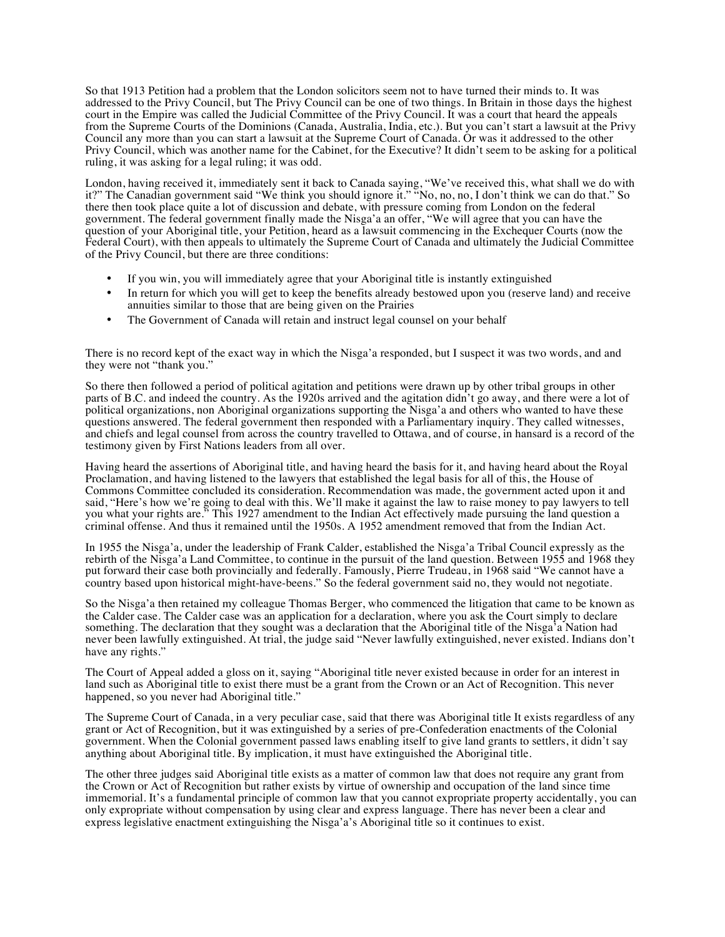So that 1913 Petition had a problem that the London solicitors seem not to have turned their minds to. It was addressed to the Privy Council, but The Privy Council can be one of two things. In Britain in those days the highest court in the Empire was called the Judicial Committee of the Privy Council. It was a court that heard the appeals from the Supreme Courts of the Dominions (Canada, Australia, India, etc.). But you can't start a lawsuit at the Privy Council any more than you can start a lawsuit at the Supreme Court of Canada. Or was it addressed to the other Privy Council, which was another name for the Cabinet, for the Executive? It didn't seem to be asking for a political ruling, it was asking for a legal ruling; it was odd.

London, having received it, immediately sent it back to Canada saying, "We've received this, what shall we do with it?" The Canadian government said "We think you should ignore it." "No, no, no, I don't think we can do that." So there then took place quite a lot of discussion and debate, with pressure coming from London on the federal government. The federal government finally made the Nisga'a an offer, "We will agree that you can have the question of your Aboriginal title, your Petition, heard as a lawsuit commencing in the Exchequer Courts (now the Federal Court), with then appeals to ultimately the Supreme Court of Canada and ultimately the Judicial Committee of the Privy Council, but there are three conditions:

- If you win, you will immediately agree that your Aboriginal title is instantly extinguished
- In return for which you will get to keep the benefits already bestowed upon you (reserve land) and receive annuities similar to those that are being given on the Prairies
- The Government of Canada will retain and instruct legal counsel on your behalf

There is no record kept of the exact way in which the Nisga'a responded, but I suspect it was two words, and and they were not "thank you."

So there then followed a period of political agitation and petitions were drawn up by other tribal groups in other parts of B.C. and indeed the country. As the 1920s arrived and the agitation didn't go away, and there were a lot of political organizations, non Aboriginal organizations supporting the Nisga'a and others who wanted to have these questions answered. The federal government then responded with a Parliamentary inquiry. They called witnesses, and chiefs and legal counsel from across the country travelled to Ottawa, and of course, in hansard is a record of the testimony given by First Nations leaders from all over.

Having heard the assertions of Aboriginal title, and having heard the basis for it, and having heard about the Royal Proclamation, and having listened to the lawyers that established the legal basis for all of this, the House of Commons Committee concluded its consideration. Recommendation was made, the government acted upon it and said, "Here's how we're going to deal with this. We'll make it against the law to raise money to pay lawyers to tell you what your rights are." This 1927 amendment to the Indian Act effectively made pursuing the land question a criminal offense. And thus it remained until the 1950s. A 1952 amendment removed that from the Indian Act.

In 1955 the Nisga'a, under the leadership of Frank Calder, established the Nisga'a Tribal Council expressly as the rebirth of the Nisga'a Land Committee, to continue in the pursuit of the land question. Between 1955 and 1968 they put forward their case both provincially and federally. Famously, Pierre Trudeau, in 1968 said "We cannot have a country based upon historical might-have-beens." So the federal government said no, they would not negotiate.

So the Nisga'a then retained my colleague Thomas Berger, who commenced the litigation that came to be known as the Calder case. The Calder case was an application for a declaration, where you ask the Court simply to declare something. The declaration that they sought was a declaration that the Aboriginal title of the Nisga'a Nation had never been lawfully extinguished. At trial, the judge said "Never lawfully extinguished, never existed. Indians don't have any rights."

The Court of Appeal added a gloss on it, saying "Aboriginal title never existed because in order for an interest in land such as Aboriginal title to exist there must be a grant from the Crown or an Act of Recognition. This never happened, so you never had Aboriginal title."

The Supreme Court of Canada, in a very peculiar case, said that there was Aboriginal title It exists regardless of any grant or Act of Recognition, but it was extinguished by a series of pre-Confederation enactments of the Colonial government. When the Colonial government passed laws enabling itself to give land grants to settlers, it didn't say anything about Aboriginal title. By implication, it must have extinguished the Aboriginal title.

The other three judges said Aboriginal title exists as a matter of common law that does not require any grant from the Crown or Act of Recognition but rather exists by virtue of ownership and occupation of the land since time immemorial. It's a fundamental principle of common law that you cannot expropriate property accidentally, you can only expropriate without compensation by using clear and express language. There has never been a clear and express legislative enactment extinguishing the Nisga'a's Aboriginal title so it continues to exist.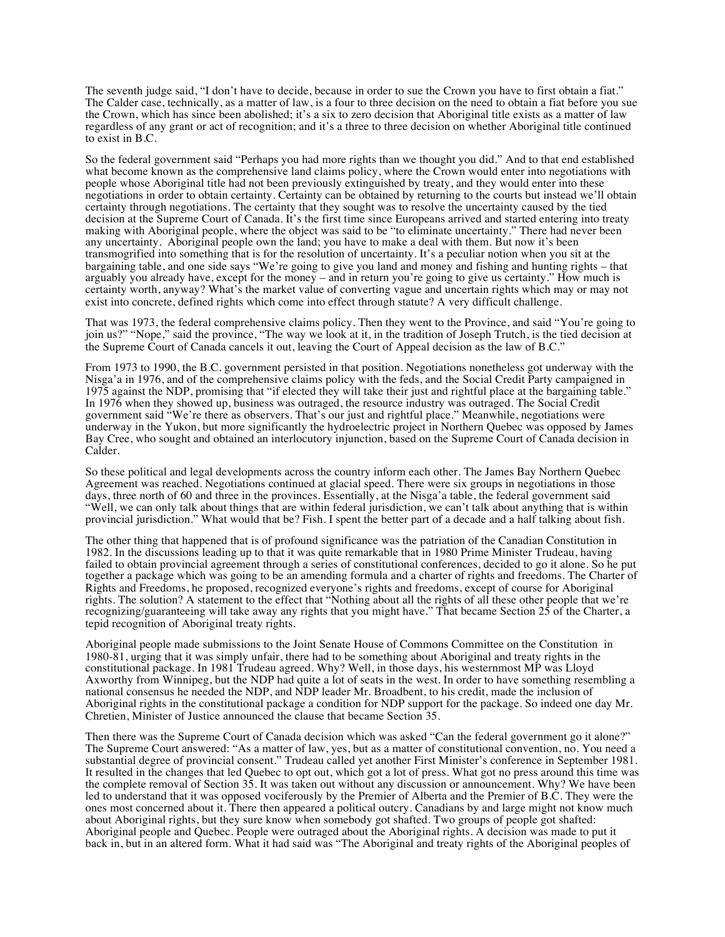The seventh judge said, "I don't have to decide, because in order to sue the Crown you have to first obtain a fiat." The Calder case, technically, as a matter of law, is a four to three decision on the need to obtain a fiat before you sue the Crown, which has since been abolished; it's a six to zero decision that Aboriginal title exists as a matter of law regardless of any grant or act of recognition; and it's a three to three decision on whether Aboriginal title continued to exist in B.C.

So the federal government said "Perhaps you had more rights than we thought you did." And to that end established what become known as the comprehensive land claims policy, where the Crown would enter into negotiations with people whose Aboriginal title had not been previously extinguished by treaty, and they would enter into these negotiations in order to obtain certainty. Certainty can be obtained by returning to the courts but instead we'll obtain certainty through negotiations. The certainty that they sought was to resolve the uncertainty caused by the tied decision at the Supreme Court of Canada. It's the first time since Europeans arrived and started entering into treaty making with Aboriginal people, where the object was said to be "to eliminate uncertainty." There had never been any uncertainty. Aboriginal people own the land; you have to make a deal with them. But now it's been transmogrified into something that is for the resolution of uncertainty. It's a peculiar notion when you sit at the bargaining table, and one side says "We're going to give you land and money and fishing and hunting rights – that arguably you already have, except for the money – and in return you're going to give us certainty." How much is certainty worth, anyway? What's the market value of converting vague and uncertain rights which may or may not exist into concrete, defined rights which come into effect through statute? A very difficult challenge.

That was 1973, the federal comprehensive claims policy. Then they went to the Province, and said "You're going to join us?" "Nope," said the province, "The way we look at it, in the tradition of Joseph Trutch, is the tied decision at the Supreme Court of Canada cancels it out, leaving the Court of Appeal decision as the law of B.C."

From 1973 to 1990, the B.C. government persisted in that position. Negotiations nonetheless got underway with the Nisga'a in 1976, and of the comprehensive claims policy with the feds, and the Social Credit Party campaigned in 1975 against the NDP, promising that "if elected they will take their just and rightful place at the bargaining table." In 1976 when they showed up, business was outraged, the resource industry was outraged. The Social Credit government said "We're there as observers. That's our just and rightful place." Meanwhile, negotiations were underway in the Yukon, but more significantly the hydroelectric project in Northern Quebec was opposed by James Bay Cree, who sought and obtained an interlocutory injunction, based on the Supreme Court of Canada decision in Calder.

So these political and legal developments across the country inform each other. The James Bay Northern Quebec Agreement was reached. Negotiations continued at glacial speed. There were six groups in negotiations in those days, three north of 60 and three in the provinces. Essentially, at the Nisga'a table, the federal government said "Well, we can only talk about things that are within federal jurisdiction, we can't talk about anything that is within provincial jurisdiction." What would that be? Fish. I spent the better part of a decade and a half talking about fish.

The other thing that happened that is of profound significance was the patriation of the Canadian Constitution in 1982. In the discussions leading up to that it was quite remarkable that in 1980 Prime Minister Trudeau, having failed to obtain provincial agreement through a series of constitutional conferences, decided to go it alone. So he put together a package which was going to be an amending formula and a charter of rights and freedoms. The Charter of Rights and Freedoms, he proposed, recognized everyone's rights and freedoms, except of course for Aboriginal rights. The solution? A statement to the effect that "Nothing about all the rights of all these other people that we're recognizing/guaranteeing will take away any rights that you might have." That became Section 25 of the Charter, a tepid recognition of Aboriginal treaty rights.

Aboriginal people made submissions to the Joint Senate House of Commons Committee on the Constitution in 1980-81, urging that it was simply unfair, there had to be something about Aboriginal and treaty rights in the constitutional package. In 1981 Trudeau agreed. Why? Well, in those days, his westernmost MP was Lloyd Axworthy from Winnipeg, but the NDP had quite a lot of seats in the west. In order to have something resembling a national consensus he needed the NDP, and NDP leader Mr. Broadbent, to his credit, made the inclusion of Aboriginal rights in the constitutional package a condition for NDP support for the package. So indeed one day Mr. Chretien, Minister of Justice announced the clause that became Section 35.

Then there was the Supreme Court of Canada decision which was asked "Can the federal government go it alone?" The Supreme Court answered: "As a matter of law, yes, but as a matter of constitutional convention, no. You need a substantial degree of provincial consent." Trudeau called yet another First Minister's conference in September 1981. It resulted in the changes that led Quebec to opt out, which got a lot of press. What got no press around this time was the complete removal of Section 35. It was taken out without any discussion or announcement. Why? We have been led to understand that it was opposed vociferously by the Premier of Alberta and the Premier of B.C. They were the ones most concerned about it. There then appeared a political outcry. Canadians by and large might not know much about Aboriginal rights, but they sure know when somebody got shafted. Two groups of people got shafted: Aboriginal people and Quebec. People were outraged about the Aboriginal rights. A decision was made to put it back in, but in an altered form. What it had said was "The Aboriginal and treaty rights of the Aboriginal peoples of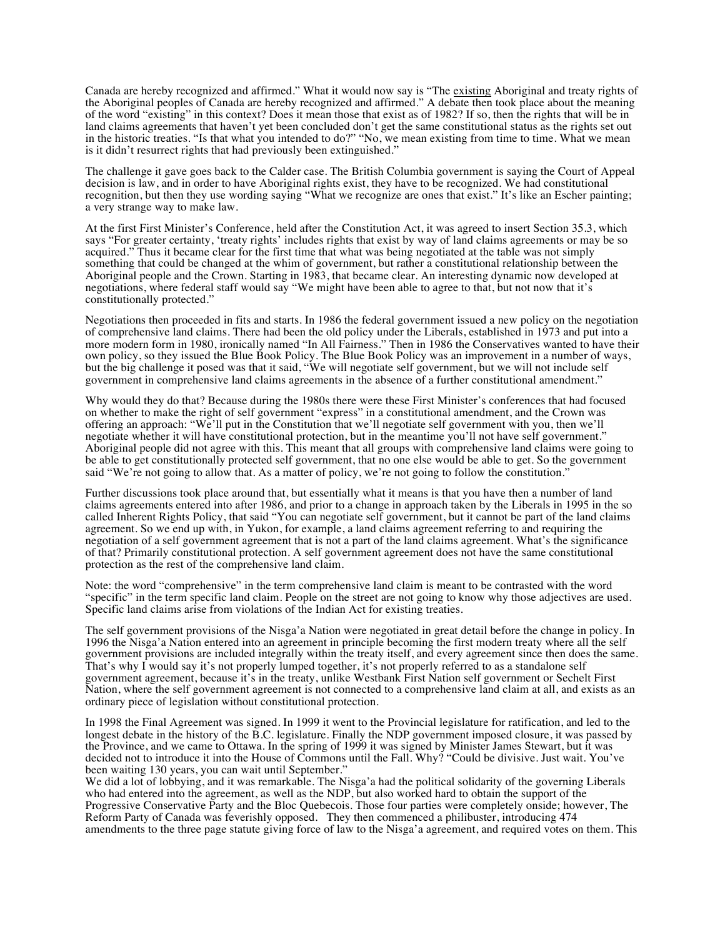Canada are hereby recognized and affirmed." What it would now say is "The existing Aboriginal and treaty rights of the Aboriginal peoples of Canada are hereby recognized and affirmed." A debate then took place about the meaning of the word "existing" in this context? Does it mean those that exist as of 1982? If so, then the rights that will be in land claims agreements that haven't yet been concluded don't get the same constitutional status as the rights set out in the historic treaties. "Is that what you intended to do?" "No, we mean existing from time to time. What we mean is it didn't resurrect rights that had previously been extinguished."

The challenge it gave goes back to the Calder case. The British Columbia government is saying the Court of Appeal decision is law, and in order to have Aboriginal rights exist, they have to be recognized. We had constitutional recognition, but then they use wording saying "What we recognize are ones that exist." It's like an Escher painting; a very strange way to make law.

At the first First Minister's Conference, held after the Constitution Act, it was agreed to insert Section 35.3, which says "For greater certainty, 'treaty rights' includes rights that exist by way of land claims agreements or may be so acquired." Thus it became clear for the first time that what was being negotiated at the table was not simply something that could be changed at the whim of government, but rather a constitutional relationship between the Aboriginal people and the Crown. Starting in 1983, that became clear. An interesting dynamic now developed at negotiations, where federal staff would say "We might have been able to agree to that, but not now that it's constitutionally protected."

Negotiations then proceeded in fits and starts. In 1986 the federal government issued a new policy on the negotiation of comprehensive land claims. There had been the old policy under the Liberals, established in 1973 and put into a more modern form in 1980, ironically named "In All Fairness." Then in 1986 the Conservatives wanted to have their own policy, so they issued the Blue Book Policy. The Blue Book Policy was an improvement in a number of ways, but the big challenge it posed was that it said, "We will negotiate self government, but we will not include self government in comprehensive land claims agreements in the absence of a further constitutional amendment."

Why would they do that? Because during the 1980s there were these First Minister's conferences that had focused on whether to make the right of self government "express" in a constitutional amendment, and the Crown was offering an approach: "We'll put in the Constitution that we'll negotiate self government with you, then we'll negotiate whether it will have constitutional protection, but in the meantime you'll not have self government." Aboriginal people did not agree with this. This meant that all groups with comprehensive land claims were going to be able to get constitutionally protected self government, that no one else would be able to get. So the government said "We're not going to allow that. As a matter of policy, we're not going to follow the constitution."

Further discussions took place around that, but essentially what it means is that you have then a number of land claims agreements entered into after 1986, and prior to a change in approach taken by the Liberals in 1995 in the so called Inherent Rights Policy, that said "You can negotiate self government, but it cannot be part of the land claims agreement. So we end up with, in Yukon, for example, a land claims agreement referring to and requiring the negotiation of a self government agreement that is not a part of the land claims agreement. What's the significance of that? Primarily constitutional protection. A self government agreement does not have the same constitutional protection as the rest of the comprehensive land claim.

Note: the word "comprehensive" in the term comprehensive land claim is meant to be contrasted with the word "specific" in the term specific land claim. People on the street are not going to know why those adjectives are used. Specific land claims arise from violations of the Indian Act for existing treaties.

The self government provisions of the Nisga'a Nation were negotiated in great detail before the change in policy. In 1996 the Nisga'a Nation entered into an agreement in principle becoming the first modern treaty where all the self government provisions are included integrally within the treaty itself, and every agreement since then does the same. That's why I would say it's not properly lumped together, it's not properly referred to as a standalone self government agreement, because it's in the treaty, unlike Westbank First Nation self government or Sechelt First Nation, where the self government agreement is not connected to a comprehensive land claim at all, and exists as an ordinary piece of legislation without constitutional protection.

In 1998 the Final Agreement was signed. In 1999 it went to the Provincial legislature for ratification, and led to the longest debate in the history of the B.C. legislature. Finally the NDP government imposed closure, it was passed by the Province, and we came to Ottawa. In the spring of 1999 it was signed by Minister James Stewart, but it was decided not to introduce it into the House of Commons until the Fall. Why? "Could be divisive. Just wait. You've been waiting 130 years, you can wait until September."

We did a lot of lobbying, and it was remarkable. The Nisga'a had the political solidarity of the governing Liberals who had entered into the agreement, as well as the NDP, but also worked hard to obtain the support of the Progressive Conservative Party and the Bloc Quebecois. Those four parties were completely onside; however, The Reform Party of Canada was feverishly opposed. They then commenced a philibuster, introducing 474 amendments to the three page statute giving force of law to the Nisga'a agreement, and required votes on them. This